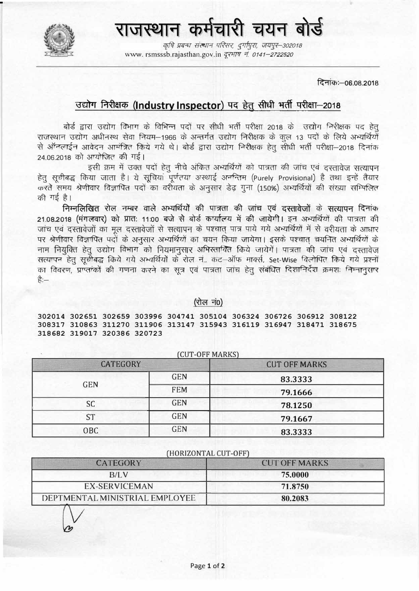राजस्थान कर्मचारी चयन बोर्ड

कृषि प्रबन्धः संस्थान परिसरः, दुर्गापुराः, जयपूर-302018 www.rsmsssb.rajasthan.gov.in *दरभाष नं. 0141-2722520* 

दिनांकः - 06.08.2018

# उद्योग निरीक्षक (Industry Inspector) पद हेतू सीधी भर्ती परीक्षा-2018

बोर्ड द्वारा उद्योग विभाग के विभिन्न पदों पर सीधी भर्ती परीक्षा 2018 के उद्योग निरीक्षक पद हेतू राजस्थान उद्योग अधीनस्थ सेवा नियम-1966 के अन्तर्गत उद्योग निरीक्षक के कल 13 पदों के लिये अभ्यर्थियों से ऑनलाईन आवेदन आमंत्रित किये गये थे। बोर्ड द्वारा उद्योग निरीक्षक हेतु सीधी भर्ती परीक्षा-2018 दिनांक 24.06.2018 को आयोजित की गई।

इसी क्रम में उक्त पदों हेतु नीचे अंकित अभ्यर्थियों को पात्रता की जांच एवं दस्तावेज सत्यापन हेतु सुचीबद्ध किया जाता है। ये सुचियां पूर्णतया अस्थाई अनन्तिम (Purely Provisional) है तथा इन्हें तैयार करते समय श्रेणीवार विज्ञापित पदों का वरीयता के अनुसार डेढ गुना (150%) अभ्यर्थियों की संख्या सम्भिलित की गई है।

निम्नलिखित रोल नम्बर वाले अभ्यर्थियों की पात्रता की जांच एवं दस्तावेजों के सत्यापन दिनांक 21.08.2018 (मंगलवार) को प्रात: 11:00 बजे से बोर्ड कार्यालय में की जायेगी। इन अभ्यर्थियों की पात्रता की जांच एवं दस्तावेजों का मूल दस्तावेजों से सत्यापन के पश्चात पात्र पाये गये अभ्यर्थियों में से वरीयता के आधार पर श्रेणीवार विज्ञापित पदों के अनुसार अभ्यर्थियों का चयन किया जायेगा। इसके पश्चात चयनित अभ्यर्थियों के नाम नियुक्ति हेतू उद्योग विभाग को नियमानुसार अभिरतायित किये जायेगें। पात्रता की जांच एवं दस्तावेज सत्यापन हेतु सुचीबद्ध किये गये अभ्यर्थियों के रोल नं., कट-ऑफ मार्क्स, Set-Wise विलोपित किये गये प्रश्नों का विवरण, प्राप्तांकों की गणना करने का सूत्र एवं पात्रता जांच हेतु संबंधित दिशानिर्देश क्रमशः निम्नानुसार है:—

#### (रोल नं0)

302014 302651 302659 303996 304741 305104 306324 306726 306912 308122 308317 310863 311270 311906 313147 315943 316119 316947 318471 318675 318682 319017 320386 320723

| <b>CATEGORY</b> |            | <b>CUT OFF MARKS</b> |
|-----------------|------------|----------------------|
| <b>GEN</b>      | <b>GEN</b> | 83.3333              |
|                 | <b>FEM</b> | 79.1666              |
| <b>SC</b>       | <b>GEN</b> | 78.1250              |
| <b>ST</b>       | <b>GEN</b> | 79.1667              |
| OBC             | <b>GEN</b> | 83.3333              |

(CUT-OFF MARKS)

#### (HORIZONTAL CUT-OFF)

| <b>CATEGORY</b>                | <b>CUT OFF MARKS</b> |
|--------------------------------|----------------------|
| B/I.V                          | 75.0000              |
| EX-SERVICEMAN                  | 71.8750              |
| DEPTMENTAL MINISTRIAL EMPLOYEE | 80,2083              |